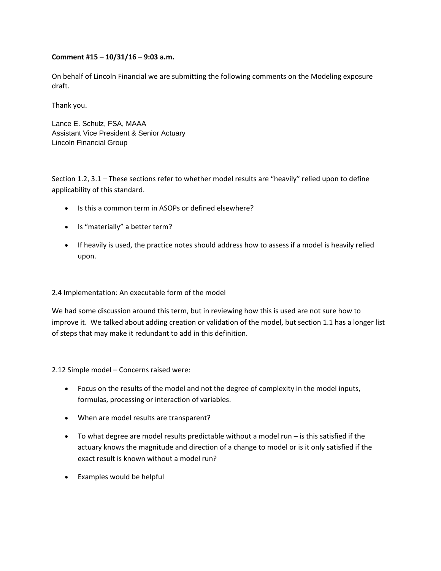## **Comment #15 – 10/31/16 – 9:03 a.m.**

On behalf of Lincoln Financial we are submitting the following comments on the Modeling exposure draft.

Thank you.

Lance E. Schulz, FSA, MAAA Assistant Vice President & Senior Actuary Lincoln Financial Group

Section 1.2, 3.1 – These sections refer to whether model results are "heavily" relied upon to define applicability of this standard.

- Is this a common term in ASOPs or defined elsewhere?
- Is "materially" a better term?
- If heavily is used, the practice notes should address how to assess if a model is heavily relied upon.

## 2.4 Implementation: An executable form of the model

We had some discussion around this term, but in reviewing how this is used are not sure how to improve it. We talked about adding creation or validation of the model, but section 1.1 has a longer list of steps that may make it redundant to add in this definition.

2.12 Simple model – Concerns raised were:

- Focus on the results of the model and not the degree of complexity in the model inputs, formulas, processing or interaction of variables.
- When are model results are transparent?
- To what degree are model results predictable without a model run is this satisfied if the actuary knows the magnitude and direction of a change to model or is it only satisfied if the exact result is known without a model run?
- Examples would be helpful